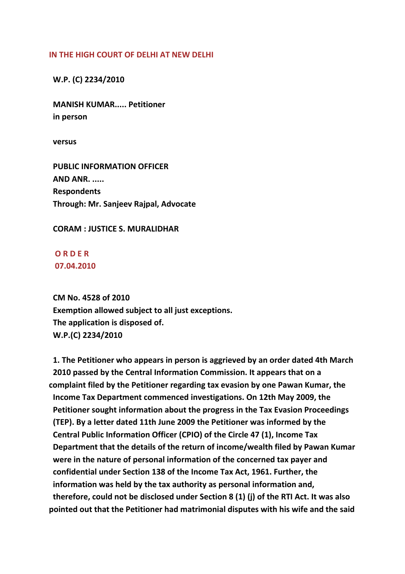## **IN THE HIGH COURT OF DELHI AT NEW DELHI**

## **W.P. (C) 2234/2010**

 **MANISH KUMAR..... Petitioner in person**

 **versus**

 **PUBLIC INFORMATION OFFICER AND ANR. ..... Respondents Through: Mr. Sanjeev Rajpal, Advocate**

## **CORAM : JUSTICE S. MURALIDHAR**

 **O R D E R 07.04.2010**

 **CM No. 4528 of 2010 Exemption allowed subject to all just exceptions. The application is disposed of. W.P.(C) 2234/2010**

 **1. The Petitioner who appears in person is aggrieved by an order dated 4th March 2010 passed by the Central Information Commission. It appears that on a complaint filed by the Petitioner regarding tax evasion by one Pawan Kumar, the Income Tax Department commenced investigations. On 12th May 2009, the Petitioner sought information about the progress in the Tax Evasion Proceedings (TEP). By a letter dated 11th June 2009 the Petitioner was informed by the Central Public Information Officer (CPIO) of the Circle 47 (1), Income Tax Department that the details of the return of income/wealth filed by Pawan Kumar were in the nature of personal information of the concerned tax payer and confidential under Section 138 of the Income Tax Act, 1961. Further, the information was held by the tax authority as personal information and, therefore, could not be disclosed under Section 8 (1) (j) of the RTI Act. It was also pointed out that the Petitioner had matrimonial disputes with his wife and the said**